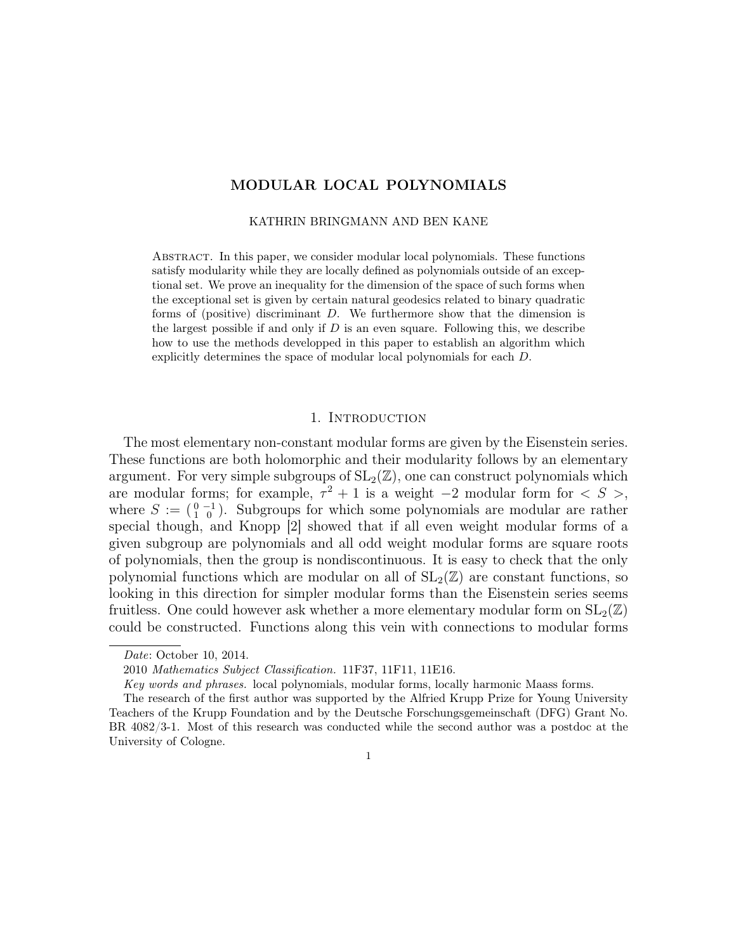# MODULAR LOCAL POLYNOMIALS

#### KATHRIN BRINGMANN AND BEN KANE

Abstract. In this paper, we consider modular local polynomials. These functions satisfy modularity while they are locally defined as polynomials outside of an exceptional set. We prove an inequality for the dimension of the space of such forms when the exceptional set is given by certain natural geodesics related to binary quadratic forms of (positive) discriminant D. We furthermore show that the dimension is the largest possible if and only if  $D$  is an even square. Following this, we describe how to use the methods developped in this paper to establish an algorithm which explicitly determines the space of modular local polynomials for each D.

### 1. INTRODUCTION

The most elementary non-constant modular forms are given by the Eisenstein series. These functions are both holomorphic and their modularity follows by an elementary argument. For very simple subgroups of  $SL_2(\mathbb{Z})$ , one can construct polynomials which are modular forms; for example,  $\tau^2 + 1$  is a weight  $-2$  modular form for  $\langle S \rangle$ , where  $S := \begin{pmatrix} 0 & -1 \\ 1 & 0 \end{pmatrix}$ . Subgroups for which some polynomials are modular are rather special though, and Knopp [2] showed that if all even weight modular forms of a given subgroup are polynomials and all odd weight modular forms are square roots of polynomials, then the group is nondiscontinuous. It is easy to check that the only polynomial functions which are modular on all of  $SL_2(\mathbb{Z})$  are constant functions, so looking in this direction for simpler modular forms than the Eisenstein series seems fruitless. One could however ask whether a more elementary modular form on  $SL_2(\mathbb{Z})$ could be constructed. Functions along this vein with connections to modular forms

1

Date: October 10, 2014.

<sup>2010</sup> Mathematics Subject Classification. 11F37, 11F11, 11E16.

Key words and phrases. local polynomials, modular forms, locally harmonic Maass forms.

The research of the first author was supported by the Alfried Krupp Prize for Young University Teachers of the Krupp Foundation and by the Deutsche Forschungsgemeinschaft (DFG) Grant No. BR 4082/3-1. Most of this research was conducted while the second author was a postdoc at the University of Cologne.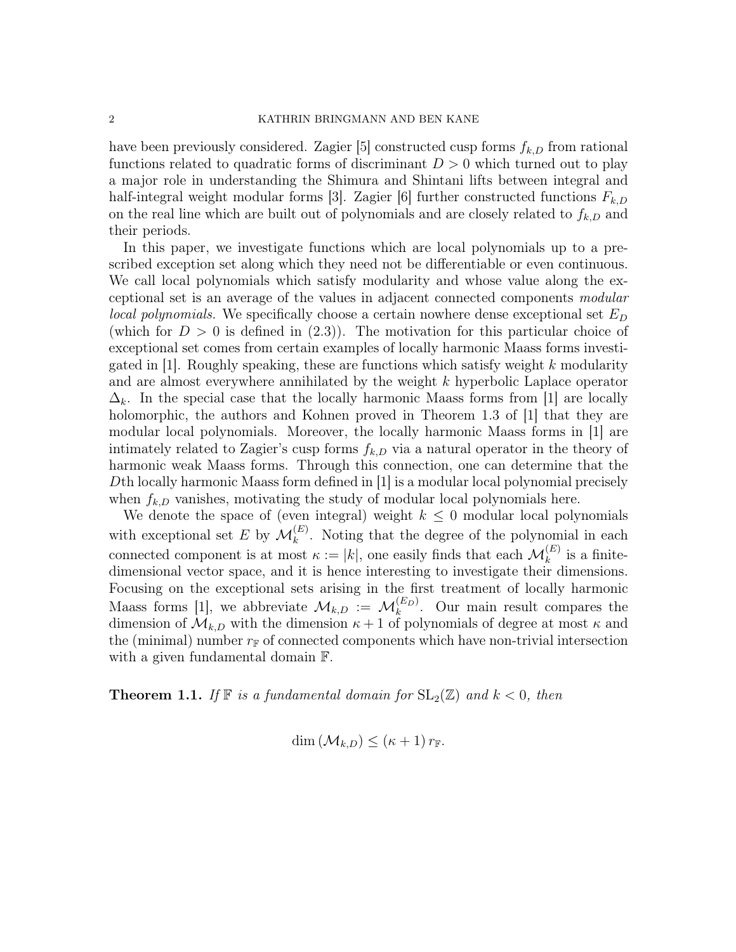have been previously considered. Zagier [5] constructed cusp forms  $f_{k,D}$  from rational functions related to quadratic forms of discriminant  $D > 0$  which turned out to play a major role in understanding the Shimura and Shintani lifts between integral and half-integral weight modular forms [3]. Zagier [6] further constructed functions  $F_{k,D}$ on the real line which are built out of polynomials and are closely related to  $f_{k,D}$  and their periods.

In this paper, we investigate functions which are local polynomials up to a prescribed exception set along which they need not be differentiable or even continuous. We call local polynomials which satisfy modularity and whose value along the exceptional set is an average of the values in adjacent connected components modular local polynomials. We specifically choose a certain nowhere dense exceptional set  $E_D$ (which for  $D > 0$  is defined in (2.3)). The motivation for this particular choice of exceptional set comes from certain examples of locally harmonic Maass forms investigated in [1]. Roughly speaking, these are functions which satisfy weight  $k$  modularity and are almost everywhere annihilated by the weight k hyperbolic Laplace operator  $\Delta_k$ . In the special case that the locally harmonic Maass forms from [1] are locally holomorphic, the authors and Kohnen proved in Theorem 1.3 of [1] that they are modular local polynomials. Moreover, the locally harmonic Maass forms in [1] are intimately related to Zagier's cusp forms  $f_{k,D}$  via a natural operator in the theory of harmonic weak Maass forms. Through this connection, one can determine that the Dth locally harmonic Maass form defined in [1] is a modular local polynomial precisely when  $f_{k,D}$  vanishes, motivating the study of modular local polynomials here.

We denote the space of (even integral) weight  $k \leq 0$  modular local polynomials with exceptional set E by  $\mathcal{M}_k^{(E)}$ . Noting that the degree of the polynomial in each connected component is at most  $\kappa := |k|$ , one easily finds that each  $\mathcal{M}_k^{(E)}$  is a finitedimensional vector space, and it is hence interesting to investigate their dimensions. Focusing on the exceptional sets arising in the first treatment of locally harmonic Maass forms [1], we abbreviate  $\mathcal{M}_{k,D} := \mathcal{M}_k^{(E_D)}$ . Our main result compares the dimension of  $\mathcal{M}_{k,D}$  with the dimension  $\kappa + 1$  of polynomials of degree at most  $\kappa$  and the (minimal) number  $r_F$  of connected components which have non-trivial intersection with a given fundamental domain F.

**Theorem 1.1.** If  $\mathbb{F}$  is a fundamental domain for  $SL_2(\mathbb{Z})$  and  $k < 0$ , then

$$
\dim\left(\mathcal{M}_{k,D}\right)\leq\left(\kappa+1\right)r_{\mathbb{F}}.
$$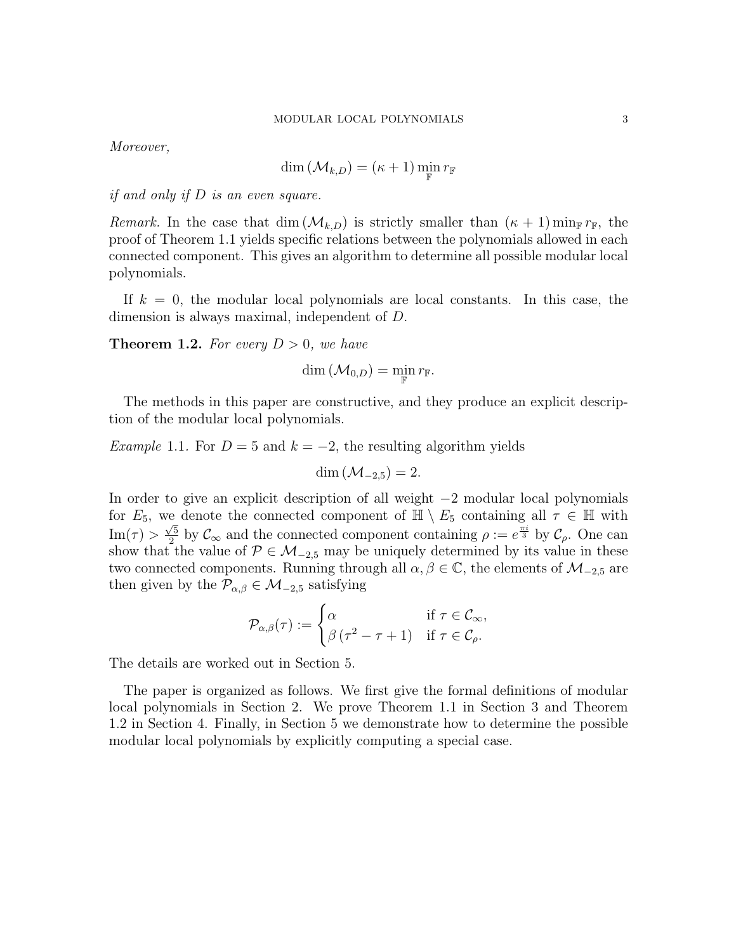Moreover,

$$
\dim\left(\mathcal{M}_{k,D}\right)=\left(\kappa+1\right)\min_{\mathbb{F}}r_{\mathbb{F}}
$$

if and only if D is an even square.

Remark. In the case that dim  $(\mathcal{M}_{k,D})$  is strictly smaller than  $(\kappa + 1)$  min<sub>F</sub>  $r_F$ , the proof of Theorem 1.1 yields specific relations between the polynomials allowed in each connected component. This gives an algorithm to determine all possible modular local polynomials.

If  $k = 0$ , the modular local polynomials are local constants. In this case, the dimension is always maximal, independent of D.

**Theorem 1.2.** For every  $D > 0$ , we have

$$
\dim\left(\mathcal{M}_{0,D}\right)=\min_{\mathbb{F}} r_{\mathbb{F}}.
$$

The methods in this paper are constructive, and they produce an explicit description of the modular local polynomials.

Example 1.1. For  $D = 5$  and  $k = -2$ , the resulting algorithm yields

$$
\dim \left( \mathcal{M}_{-2,5} \right) = 2.
$$

In order to give an explicit description of all weight −2 modular local polynomials for  $E_5$ , we denote the connected component of  $\overline{\mathbb{H}} \setminus E_5$  containing all  $\tau \in \mathbb{H}$  with  $\text{Im}(\tau) > \frac{\sqrt{5}}{2}$  $\frac{\sqrt{5}}{2}$  by  $\mathcal{C}_{\infty}$  and the connected component containing  $\rho := e^{\frac{\pi i}{3}}$  by  $\mathcal{C}_{\rho}$ . One can show that the value of  $P \in M_{-2,5}$  may be uniquely determined by its value in these two connected components. Running through all  $\alpha, \beta \in \mathbb{C}$ , the elements of  $\mathcal{M}_{-2,5}$  are then given by the  $\mathcal{P}_{\alpha,\beta} \in \mathcal{M}_{-2,5}$  satisfying

$$
\mathcal{P}_{\alpha,\beta}(\tau) := \begin{cases} \alpha & \text{if } \tau \in \mathcal{C}_{\infty}, \\ \beta(\tau^2 - \tau + 1) & \text{if } \tau \in \mathcal{C}_{\rho}. \end{cases}
$$

The details are worked out in Section 5.

The paper is organized as follows. We first give the formal definitions of modular local polynomials in Section 2. We prove Theorem 1.1 in Section 3 and Theorem 1.2 in Section 4. Finally, in Section 5 we demonstrate how to determine the possible modular local polynomials by explicitly computing a special case.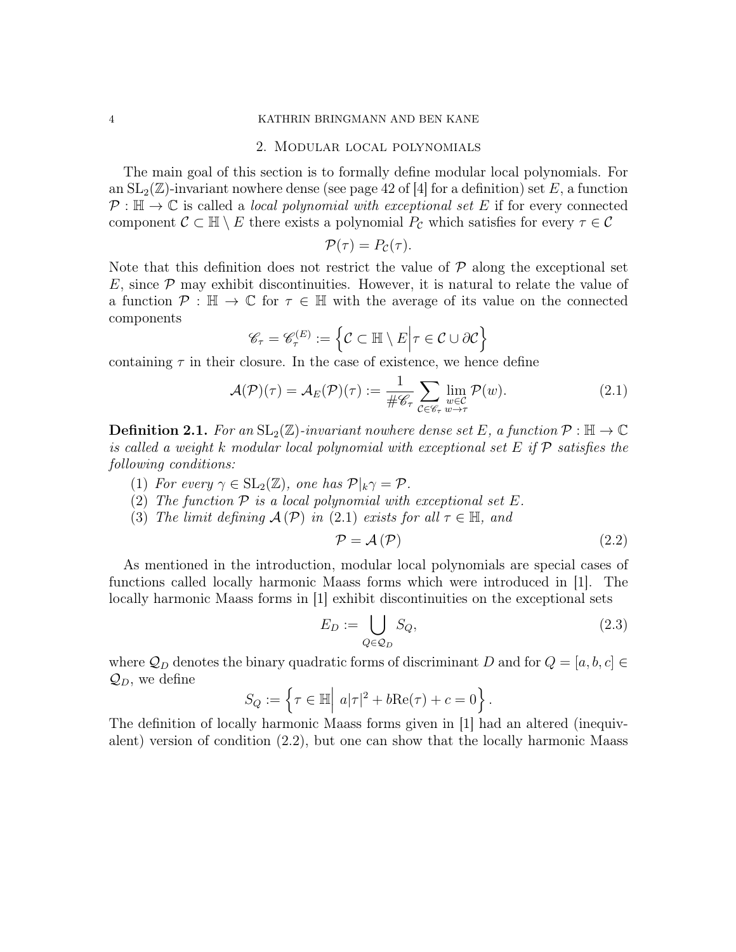### 2. Modular local polynomials

The main goal of this section is to formally define modular local polynomials. For an  $SL_2(\mathbb{Z})$ -invariant nowhere dense (see page 42 of |4| for a definition) set E, a function  $P : \mathbb{H} \to \mathbb{C}$  is called a *local polynomial with exceptional set* E if for every connected component  $\mathcal{C} \subset \mathbb{H} \setminus E$  there exists a polynomial  $P_{\mathcal{C}}$  which satisfies for every  $\tau \in \mathcal{C}$ 

$$
\mathcal{P}(\tau) = P_{\mathcal{C}}(\tau).
$$

Note that this definition does not restrict the value of  $P$  along the exceptional set  $E$ , since  $P$  may exhibit discontinuities. However, it is natural to relate the value of a function  $\mathcal{P} : \mathbb{H} \to \mathbb{C}$  for  $\tau \in \mathbb{H}$  with the average of its value on the connected components

$$
\mathscr{C}_{\tau} = \mathscr{C}_{\tau}^{(E)} := \left\{ \mathcal{C} \subset \mathbb{H} \setminus E \middle| \tau \in \mathcal{C} \cup \partial \mathcal{C} \right\}
$$

containing  $\tau$  in their closure. In the case of existence, we hence define

$$
\mathcal{A}(\mathcal{P})(\tau) = \mathcal{A}_E(\mathcal{P})(\tau) := \frac{1}{\#\mathscr{C}_\tau} \sum_{\mathcal{C} \in \mathscr{C}_\tau} \lim_{\substack{w \in \mathcal{C} \\ w \to \tau}} \mathcal{P}(w). \tag{2.1}
$$

**Definition 2.1.** For an  $SL_2(\mathbb{Z})$ -invariant nowhere dense set E, a function  $\mathcal{P}: \mathbb{H} \to \mathbb{C}$ is called a weight k modular local polynomial with exceptional set E if  $\mathcal P$  satisfies the following conditions:

- (1) For every  $\gamma \in SL_2(\mathbb{Z})$ , one has  $\mathcal{P}|_k \gamma = \mathcal{P}$ .
- (2) The function  $P$  is a local polynomial with exceptional set E.
- (3) The limit defining  $\mathcal{A}(\mathcal{P})$  in (2.1) exists for all  $\tau \in \mathbb{H}$ , and

$$
\mathcal{P} = \mathcal{A}(\mathcal{P})\tag{2.2}
$$

As mentioned in the introduction, modular local polynomials are special cases of functions called locally harmonic Maass forms which were introduced in [1]. The locally harmonic Maass forms in [1] exhibit discontinuities on the exceptional sets

$$
E_D := \bigcup_{Q \in \mathcal{Q}_D} S_Q,\tag{2.3}
$$

where  $\mathcal{Q}_D$  denotes the binary quadratic forms of discriminant D and for  $Q = [a, b, c] \in$  $\mathcal{Q}_D$ , we define

$$
S_Q := \left\{ \tau \in \mathbb{H} \middle| \ a|\tau|^2 + b \text{Re}(\tau) + c = 0 \right\}.
$$

The definition of locally harmonic Maass forms given in [1] had an altered (inequivalent) version of condition (2.2), but one can show that the locally harmonic Maass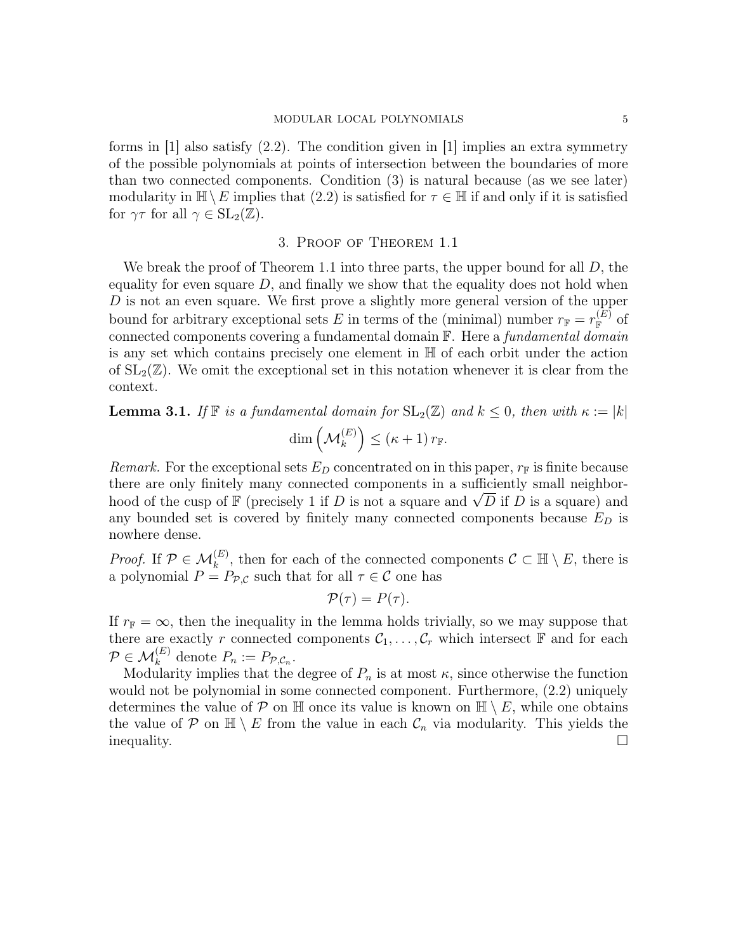forms in  $[1]$  also satisfy  $(2.2)$ . The condition given in  $[1]$  implies an extra symmetry of the possible polynomials at points of intersection between the boundaries of more than two connected components. Condition (3) is natural because (as we see later) modularity in  $\mathbb{H}\setminus E$  implies that  $(2.2)$  is satisfied for  $\tau \in \mathbb{H}$  if and only if it is satisfied for  $\gamma\tau$  for all  $\gamma \in SL_2(\mathbb{Z})$ .

#### 3. Proof of Theorem 1.1

We break the proof of Theorem 1.1 into three parts, the upper bound for all  $D$ , the equality for even square  $D$ , and finally we show that the equality does not hold when D is not an even square. We first prove a slightly more general version of the upper bound for arbitrary exceptional sets E in terms of the (minimal) number  $r_{\mathbb{F}} = r_{\mathbb{F}}^{(E)}$  of connected components covering a fundamental domain F. Here a fundamental domain is any set which contains precisely one element in H of each orbit under the action of  $SL_2(\mathbb{Z})$ . We omit the exceptional set in this notation whenever it is clear from the context.

**Lemma 3.1.** If  $\mathbb{F}$  is a fundamental domain for  $SL_2(\mathbb{Z})$  and  $k \leq 0$ , then with  $\kappa := |k|$  $\dim\left(\mathcal{M}_k^{(E)}\right) \leq \left(\kappa+1\right)r_{\mathbb{F}}.$ 

Remark. For the exceptional sets  $E_D$  concentrated on in this paper,  $r_F$  is finite because there are only finitely many connected components in a sufficiently small neighborthere are only finitely many connected components in a sufficiently small neighbor-<br>hood of the cusp of F (precisely 1 if D is not a square and  $\sqrt{D}$  if D is a square) and any bounded set is covered by finitely many connected components because  $E_D$  is nowhere dense.

*Proof.* If  $\mathcal{P} \in \mathcal{M}_k^{(E)}$ , then for each of the connected components  $\mathcal{C} \subset \mathbb{H} \setminus E$ , there is a polynomial  $P = P_{\mathcal{P}, \mathcal{C}}$  such that for all  $\tau \in \mathcal{C}$  one has

$$
\mathcal{P}(\tau) = P(\tau).
$$

If  $r_{\mathbb{F}} = \infty$ , then the inequality in the lemma holds trivially, so we may suppose that there are exactly r connected components  $C_1, \ldots, C_r$  which intersect  $\mathbb F$  and for each  $P \in \mathcal{M}_k^{(E)}$  denote  $P_n := P_{\mathcal{P}, \mathcal{C}_n}$ .

Modularity implies that the degree of  $P_n$  is at most  $\kappa$ , since otherwise the function would not be polynomial in some connected component. Furthermore, (2.2) uniquely determines the value of P on H once its value is known on  $\mathbb{H} \setminus E$ , while one obtains the value of P on  $\mathbb{H} \setminus E$  from the value in each  $\mathcal{C}_n$  via modularity. This yields the inequality.  $\Box$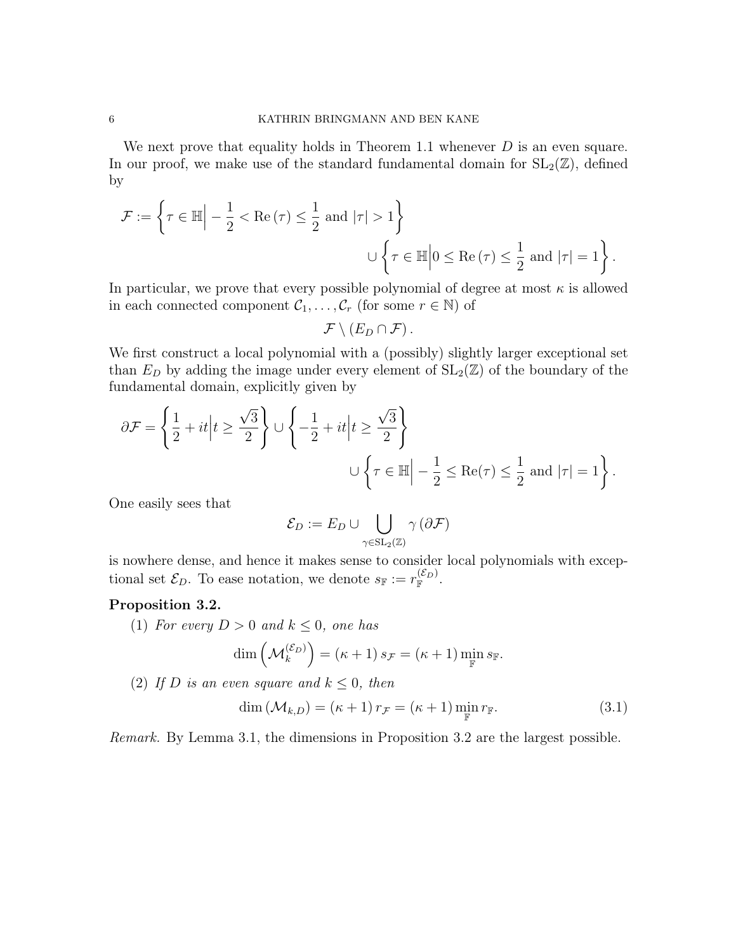We next prove that equality holds in Theorem 1.1 whenever  $D$  is an even square. In our proof, we make use of the standard fundamental domain for  $SL_2(\mathbb{Z})$ , defined by

$$
\mathcal{F} := \left\{ \tau \in \mathbb{H} \Big| -\frac{1}{2} < \text{Re}(\tau) \le \frac{1}{2} \text{ and } |\tau| > 1 \right\}
$$
\n
$$
\cup \left\{ \tau \in \mathbb{H} \Big| 0 \le \text{Re}(\tau) \le \frac{1}{2} \text{ and } |\tau| = 1 \right\}.
$$

In particular, we prove that every possible polynomial of degree at most  $\kappa$  is allowed in each connected component  $C_1, \ldots, C_r$  (for some  $r \in \mathbb{N}$ ) of

$$
\mathcal{F}\setminus (E_D\cap \mathcal{F})\,.
$$

We first construct a local polynomial with a (possibly) slightly larger exceptional set than  $E_D$  by adding the image under every element of  $SL_2(\mathbb{Z})$  of the boundary of the fundamental domain, explicitly given by

$$
\partial \mathcal{F} = \left\{ \frac{1}{2} + it \middle| t \ge \frac{\sqrt{3}}{2} \right\} \cup \left\{ -\frac{1}{2} + it \middle| t \ge \frac{\sqrt{3}}{2} \right\}
$$
  

$$
\cup \left\{ \tau \in \mathbb{H} \middle| -\frac{1}{2} \le \text{Re}(\tau) \le \frac{1}{2} \text{ and } |\tau| = 1 \right\}.
$$

One easily sees that

$$
\mathcal{E}_D := E_D \cup \bigcup_{\gamma \in \mathrm{SL}_2(\mathbb{Z})} \gamma(\partial \mathcal{F})
$$

is nowhere dense, and hence it makes sense to consider local polynomials with exceptional set  $\mathcal{E}_D$ . To ease notation, we denote  $s_{\mathbb{F}} := r_{\mathbb{F}}^{(\mathcal{E}_D)}$ .

# Proposition 3.2.

(1) For every  $D > 0$  and  $k \leq 0$ , one has

$$
\dim\left(\mathcal{M}_k^{(\mathcal{E}_D)}\right)=(\kappa+1)\,s_{\mathcal{F}}=(\kappa+1)\min_{\mathbb{F}}s_{\mathbb{F}}.
$$

(2) If D is an even square and  $k \leq 0$ , then

$$
\dim\left(\mathcal{M}_{k,D}\right) = \left(\kappa + 1\right)r_{\mathcal{F}} = \left(\kappa + 1\right)\min_{\mathbb{F}} r_{\mathbb{F}}.\tag{3.1}
$$

Remark. By Lemma 3.1, the dimensions in Proposition 3.2 are the largest possible.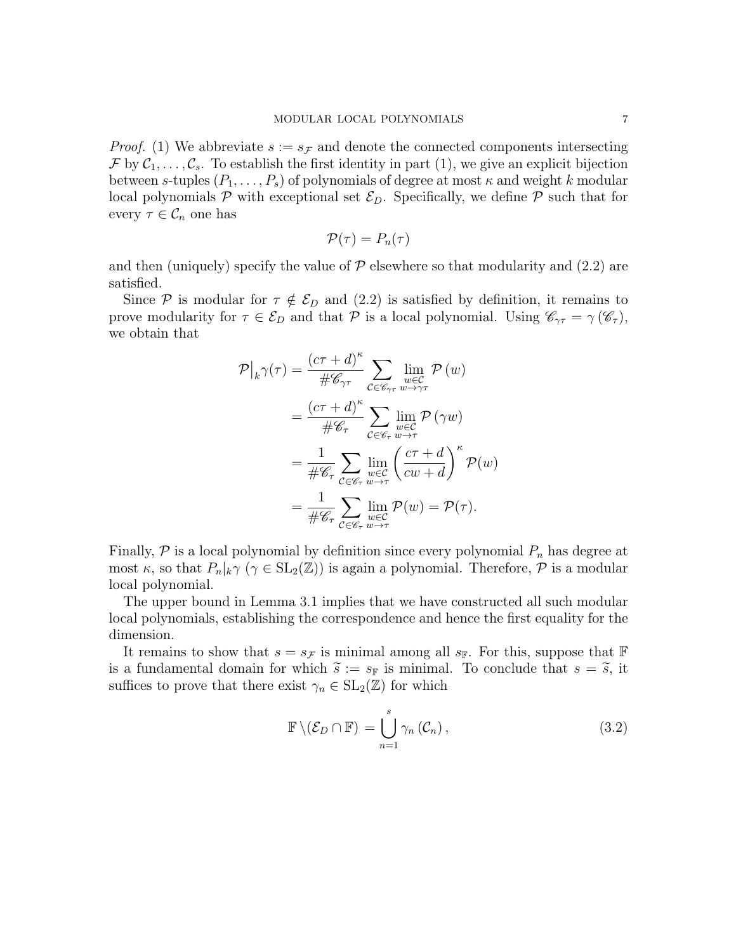*Proof.* (1) We abbreviate  $s := s_{\mathcal{F}}$  and denote the connected components intersecting  $\mathcal{F}$  by  $\mathcal{C}_1,\ldots,\mathcal{C}_s$ . To establish the first identity in part (1), we give an explicit bijection between s-tuples  $(P_1, \ldots, P_s)$  of polynomials of degree at most  $\kappa$  and weight k modular local polynomials  $P$  with exceptional set  $\mathcal{E}_D$ . Specifically, we define  $P$  such that for every  $\tau \in \mathcal{C}_n$  one has

$$
\mathcal{P}(\tau)=P_n(\tau)
$$

and then (uniquely) specify the value of  $P$  elsewhere so that modularity and (2.2) are satisfied.

Since P is modular for  $\tau \notin \mathcal{E}_D$  and (2.2) is satisfied by definition, it remains to prove modularity for  $\tau \in \mathcal{E}_D$  and that  $\mathcal P$  is a local polynomial. Using  $\mathscr{C}_{\gamma\tau} = \gamma(\mathscr{C}_{\tau}),$ we obtain that

$$
\mathcal{P}|_{k}\gamma(\tau) = \frac{(c\tau + d)^{\kappa}}{\#\mathscr{C}_{\gamma\tau}} \sum_{\substack{w \in \mathcal{C} \\ w \in \mathcal{C}}} \lim_{w \to \gamma\tau} \mathcal{P}(w)
$$
  
\n
$$
= \frac{(c\tau + d)^{\kappa}}{\#\mathscr{C}_{\tau}} \sum_{\substack{c \in \mathscr{C}_{\tau} \\ w \in \mathcal{C}}} \lim_{\substack{w \in \mathcal{C} \\ w \in \mathcal{C}}} \mathcal{P}(\gamma w)
$$
  
\n
$$
= \frac{1}{\#\mathscr{C}_{\tau}} \sum_{\substack{c \in \mathscr{C}_{\tau} \\ w \to \tau}} \lim_{\substack{w \in \mathcal{C} \\ w \in \mathcal{C}}} \mathcal{P}(w) = \mathcal{P}(\tau).
$$

Finally,  $P$  is a local polynomial by definition since every polynomial  $P_n$  has degree at most  $\kappa$ , so that  $P_n|_k \gamma$   $(\gamma \in SL_2(\mathbb{Z}))$  is again a polynomial. Therefore,  $\mathcal P$  is a modular local polynomial.

The upper bound in Lemma 3.1 implies that we have constructed all such modular local polynomials, establishing the correspondence and hence the first equality for the dimension.

It remains to show that  $s = s_{\mathcal{F}}$  is minimal among all  $s_{\mathbb{F}}$ . For this, suppose that  $\mathbb{F}$ is a fundamental domain for which  $\tilde{s} := s_F$  is minimal. To conclude that  $s = \tilde{s}$ , it suffices to prove that there exist  $\gamma_n \in SL_2(\mathbb{Z})$  for which

$$
\mathbb{F}\setminus(\mathcal{E}_D\cap\mathbb{F})=\bigcup_{n=1}^s\gamma_n(\mathcal{C}_n),\qquad(3.2)
$$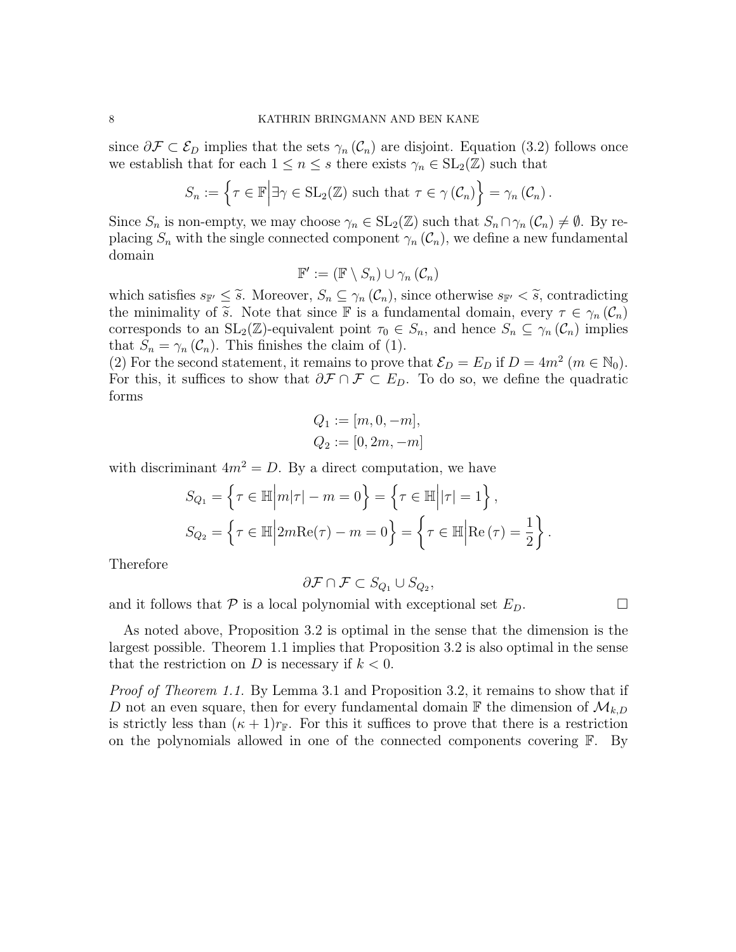since  $\partial \mathcal{F} \subset \mathcal{E}_D$  implies that the sets  $\gamma_n(\mathcal{C}_n)$  are disjoint. Equation (3.2) follows once we establish that for each  $1 \leq n \leq s$  there exists  $\gamma_n \in SL_2(\mathbb{Z})$  such that

$$
S_n := \left\{ \tau \in \mathbb{F} \middle| \exists \gamma \in \operatorname{SL}_2(\mathbb{Z}) \text{ such that } \tau \in \gamma(\mathcal{C}_n) \right\} = \gamma_n(\mathcal{C}_n).
$$

Since  $S_n$  is non-empty, we may choose  $\gamma_n \in SL_2(\mathbb{Z})$  such that  $S_n \cap \gamma_n(\mathcal{C}_n) \neq \emptyset$ . By replacing  $S_n$  with the single connected component  $\gamma_n(\mathcal{C}_n)$ , we define a new fundamental domain

$$
\mathbb{F}' := (\mathbb{F} \setminus S_n) \cup \gamma_n \left( \mathcal{C}_n \right)
$$

which satisfies  $s_{\mathbb{F}'} \leq \tilde{s}$ . Moreover,  $S_n \subseteq \gamma_n(\mathcal{C}_n)$ , since otherwise  $s_{\mathbb{F}'} < \tilde{s}$ , contradicting the minimality of  $\tilde{s}$ . Note that since F is a fundamental domain, every  $\tau \in \gamma_n(\mathcal{C}_n)$ corresponds to an  $SL_2(\mathbb{Z})$ -equivalent point  $\tau_0 \in S_n$ , and hence  $S_n \subseteq \gamma_n(\mathcal{C}_n)$  implies that  $S_n = \gamma_n(\mathcal{C}_n)$ . This finishes the claim of (1).

(2) For the second statement, it remains to prove that  $\mathcal{E}_D = E_D$  if  $D = 4m^2$  ( $m \in \mathbb{N}_0$ ). For this, it suffices to show that  $\partial \mathcal{F} \cap \mathcal{F} \subset E_D$ . To do so, we define the quadratic forms

$$
Q_1 := [m, 0, -m],
$$
  

$$
Q_2 := [0, 2m, -m]
$$

with discriminant  $4m^2 = D$ . By a direct computation, we have

$$
S_{Q_1} = \left\{ \tau \in \mathbb{H} \middle| m|\tau| - m = 0 \right\} = \left\{ \tau \in \mathbb{H} \middle| |\tau| = 1 \right\},\
$$
  

$$
S_{Q_2} = \left\{ \tau \in \mathbb{H} \middle| 2m \text{Re}(\tau) - m = 0 \right\} = \left\{ \tau \in \mathbb{H} \middle| \text{Re}(\tau) = \frac{1}{2} \right\}.
$$

Therefore

$$
\partial \mathcal{F} \cap \mathcal{F} \subset S_{Q_1} \cup S_{Q_2},
$$

and it follows that  $P$  is a local polynomial with exceptional set  $E_D$ .

As noted above, Proposition 3.2 is optimal in the sense that the dimension is the largest possible. Theorem 1.1 implies that Proposition 3.2 is also optimal in the sense that the restriction on D is necessary if  $k < 0$ .

Proof of Theorem 1.1. By Lemma 3.1 and Proposition 3.2, it remains to show that if D not an even square, then for every fundamental domain  $\mathbb F$  the dimension of  $\mathcal M_{k,D}$ is strictly less than  $(\kappa + 1)r_{\mathbb{F}}$ . For this it suffices to prove that there is a restriction on the polynomials allowed in one of the connected components covering  $\mathbb{F}$ . By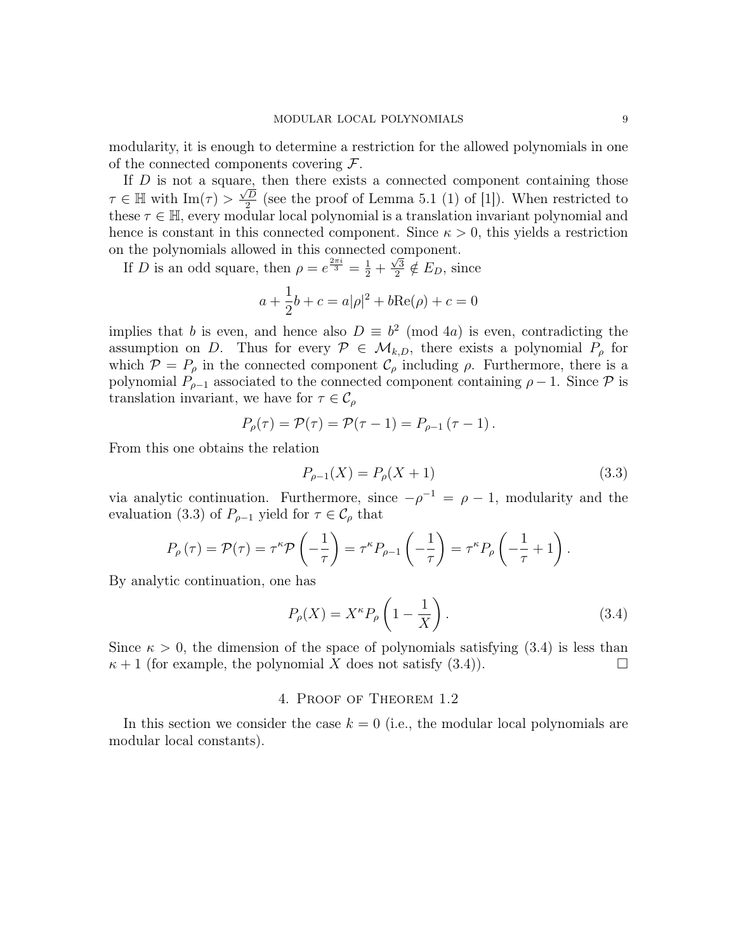modularity, it is enough to determine a restriction for the allowed polynomials in one of the connected components covering  $\mathcal{F}$ .

If D is not a square, then there exists a connected component containing those  $\tau \in \mathbb{H}$  with  $\text{Im}(\tau) > \frac{\sqrt{D}}{2}$  $\frac{2}{2}$  (see the proof of Lemma 5.1 (1) of [1]). When restricted to these  $\tau \in \mathbb{H}$ , every modular local polynomial is a translation invariant polynomial and hence is constant in this connected component. Since  $\kappa > 0$ , this yields a restriction on the polynomials allowed in this connected component.

If D is an odd square, then  $\rho = e^{\frac{2\pi i}{3}} = \frac{1}{2} + \frac{\sqrt{3}}{2}$  $\frac{\sqrt{3}}{2} \notin E_D$ , since

$$
a + \frac{1}{2}b + c = a|\rho|^2 + b\text{Re}(\rho) + c = 0
$$

implies that b is even, and hence also  $D \equiv b^2 \pmod{4a}$  is even, contradicting the assumption on D. Thus for every  $P \in \mathcal{M}_{k,D}$ , there exists a polynomial  $P_{\rho}$  for which  $\mathcal{P} = P_{\rho}$  in the connected component  $\mathcal{C}_{\rho}$  including  $\rho$ . Furthermore, there is a polynomial  $P_{\rho-1}$  associated to the connected component containing  $\rho - 1$ . Since  $\mathcal P$  is translation invariant, we have for  $\tau \in \mathcal{C}_{\rho}$ 

$$
P_{\rho}(\tau) = \mathcal{P}(\tau) = \mathcal{P}(\tau - 1) = P_{\rho - 1}(\tau - 1).
$$

From this one obtains the relation

$$
P_{\rho-1}(X) = P_{\rho}(X+1)
$$
\n(3.3)

via analytic continuation. Furthermore, since  $-\rho^{-1} = \rho - 1$ , modularity and the evaluation (3.3) of  $P_{\rho-1}$  yield for  $\tau \in \mathcal{C}_{\rho}$  that

$$
P_{\rho}(\tau) = \mathcal{P}(\tau) = \tau^{\kappa} \mathcal{P}\left(-\frac{1}{\tau}\right) = \tau^{\kappa} P_{\rho-1}\left(-\frac{1}{\tau}\right) = \tau^{\kappa} P_{\rho}\left(-\frac{1}{\tau} + 1\right).
$$

By analytic continuation, one has

$$
P_{\rho}(X) = X^{\kappa} P_{\rho} \left( 1 - \frac{1}{X} \right). \tag{3.4}
$$

Since  $\kappa > 0$ , the dimension of the space of polynomials satisfying (3.4) is less than  $\kappa + 1$  (for example, the polynomial X does not satisfy (3.4)).

#### 4. Proof of Theorem 1.2

In this section we consider the case  $k = 0$  (i.e., the modular local polynomials are modular local constants).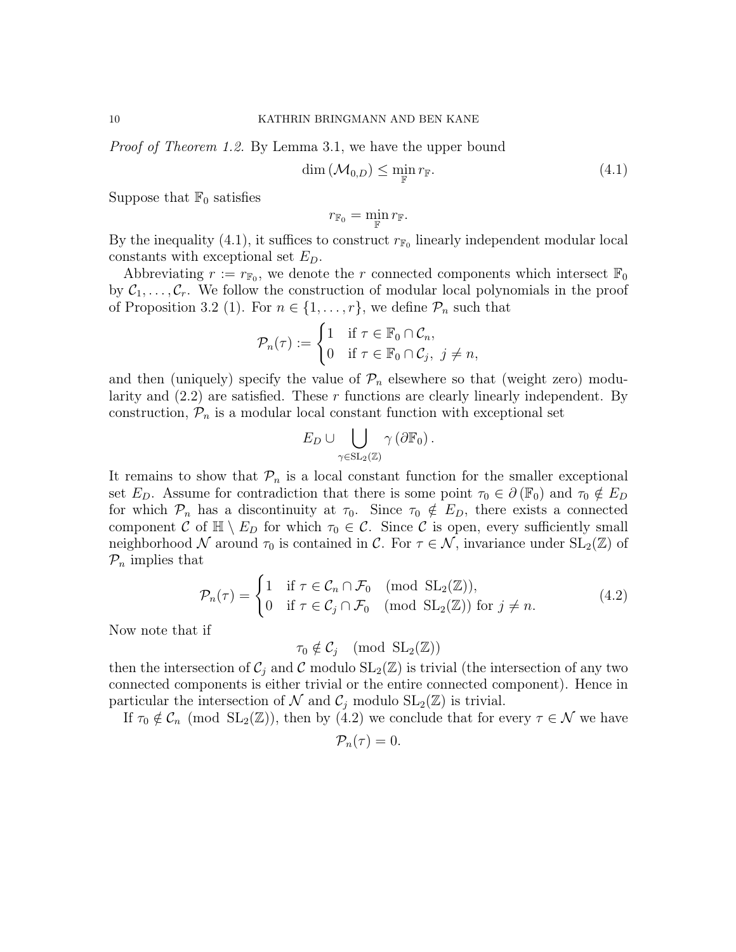Proof of Theorem 1.2. By Lemma 3.1, we have the upper bound

$$
\dim\left(\mathcal{M}_{0,D}\right)\leq \min_{\mathbb{F}} r_{\mathbb{F}}.\tag{4.1}
$$

Suppose that  $\mathbb{F}_0$  satisfies

$$
r_{\mathbb{F}_0} = \min_{\mathbb{F}} r_{\mathbb{F}}.
$$

By the inequality (4.1), it suffices to construct  $r_{\mathbb{F}_0}$  linearly independent modular local constants with exceptional set  $E_D$ .

Abbreviating  $r := r_{\mathbb{F}_0}$ , we denote the r connected components which intersect  $\mathbb{F}_0$ by  $C_1, \ldots, C_r$ . We follow the construction of modular local polynomials in the proof of Proposition 3.2 (1). For  $n \in \{1, \ldots, r\}$ , we define  $\mathcal{P}_n$  such that

$$
\mathcal{P}_n(\tau) := \begin{cases} 1 & \text{if } \tau \in \mathbb{F}_0 \cap \mathcal{C}_n, \\ 0 & \text{if } \tau \in \mathbb{F}_0 \cap \mathcal{C}_j, \ j \neq n, \end{cases}
$$

and then (uniquely) specify the value of  $\mathcal{P}_n$  elsewhere so that (weight zero) modularity and  $(2.2)$  are satisfied. These r functions are clearly linearly independent. By construction,  $\mathcal{P}_n$  is a modular local constant function with exceptional set

$$
E_D \cup \bigcup_{\gamma \in \mathrm{SL}_2(\mathbb{Z})} \gamma (\partial \mathbb{F}_0).
$$

It remains to show that  $\mathcal{P}_n$  is a local constant function for the smaller exceptional set  $E_D$ . Assume for contradiction that there is some point  $\tau_0 \in \partial(\mathbb{F}_0)$  and  $\tau_0 \notin E_D$ for which  $P_n$  has a discontinuity at  $\tau_0$ . Since  $\tau_0 \notin E_D$ , there exists a connected component C of  $\mathbb{H} \setminus E_D$  for which  $\tau_0 \in \mathcal{C}$ . Since C is open, every sufficiently small neighborhood N around  $\tau_0$  is contained in C. For  $\tau \in \mathcal{N}$ , invariance under  $SL_2(\mathbb{Z})$  of  $P_n$  implies that

$$
\mathcal{P}_n(\tau) = \begin{cases} 1 & \text{if } \tau \in \mathcal{C}_n \cap \mathcal{F}_0 \pmod{\text{SL}_2(\mathbb{Z})}, \\ 0 & \text{if } \tau \in \mathcal{C}_j \cap \mathcal{F}_0 \pmod{\text{SL}_2(\mathbb{Z})} \text{ for } j \neq n. \end{cases} \tag{4.2}
$$

Now note that if

$$
\tau_0 \notin \mathcal{C}_j \pmod{\mathrm{SL}_2(\mathbb{Z})}
$$

then the intersection of  $\mathcal{C}_j$  and  $\mathcal C$  modulo  $SL_2(\mathbb{Z})$  is trivial (the intersection of any two connected components is either trivial or the entire connected component). Hence in particular the intersection of  $\mathcal N$  and  $\mathcal C_j$  modulo  $SL_2(\mathbb Z)$  is trivial.

If  $\tau_0 \notin \mathcal{C}_n \pmod{\text{SL}_2(\mathbb{Z})}$ , then by  $(4.2)$  we conclude that for every  $\tau \in \mathcal{N}$  we have

$$
\mathcal{P}_n(\tau)=0.
$$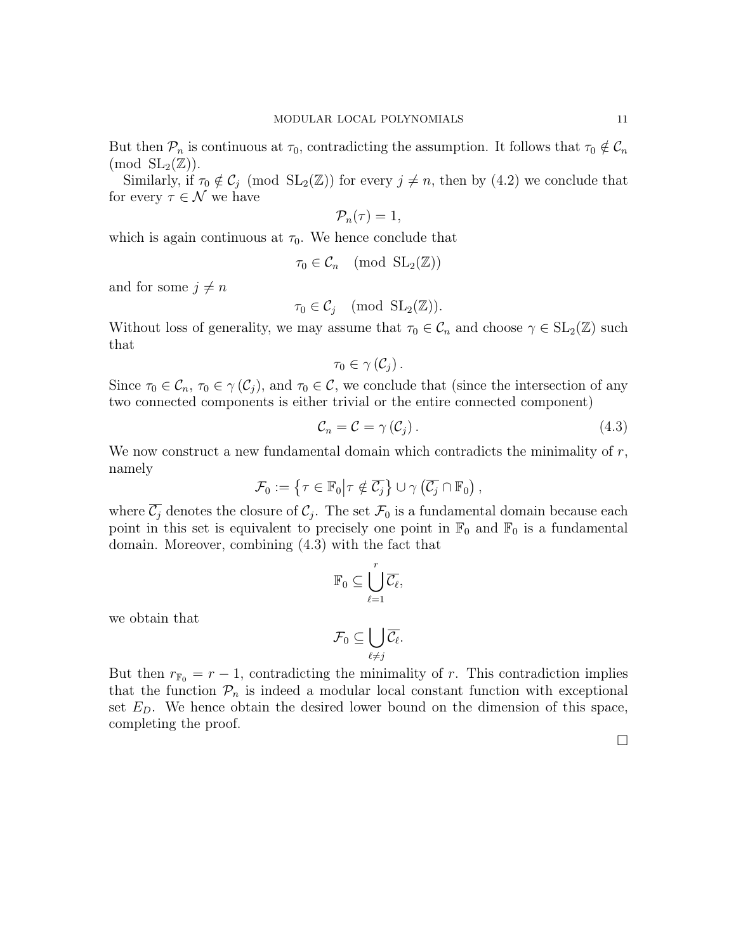But then  $\mathcal{P}_n$  is continuous at  $\tau_0$ , contradicting the assumption. It follows that  $\tau_0 \notin \mathcal{C}_n$  $\pmod{SL_2(\mathbb{Z})}.$ 

Similarly, if  $\tau_0 \notin C_j \pmod{SL_2(\mathbb{Z})}$  for every  $j \neq n$ , then by  $(4.2)$  we conclude that for every  $\tau \in \mathcal{N}$  we have

$$
\mathcal{P}_n(\tau)=1,
$$

which is again continuous at  $\tau_0$ . We hence conclude that

$$
\tau_0 \in \mathcal{C}_n \pmod{\mathrm{SL}_2(\mathbb{Z})}
$$

and for some  $j \neq n$ 

$$
\tau_0 \in \mathcal{C}_j \pmod{\mathrm{SL}_2(\mathbb{Z})}.
$$

Without loss of generality, we may assume that  $\tau_0 \in \mathcal{C}_n$  and choose  $\gamma \in SL_2(\mathbb{Z})$  such that

$$
\tau_0\in\gamma\left(\mathcal{C}_j\right).
$$

Since  $\tau_0 \in \mathcal{C}_n$ ,  $\tau_0 \in \gamma(\mathcal{C}_i)$ , and  $\tau_0 \in \mathcal{C}$ , we conclude that (since the intersection of any two connected components is either trivial or the entire connected component)

$$
\mathcal{C}_n = \mathcal{C} = \gamma \left( \mathcal{C}_j \right). \tag{4.3}
$$

We now construct a new fundamental domain which contradicts the minimality of  $r$ , namely

$$
\mathcal{F}_0 := \left\{ \tau \in \mathbb{F}_0 \middle| \tau \notin \overline{\mathcal{C}_j} \right\} \cup \gamma \left( \overline{\mathcal{C}_j} \cap \mathbb{F}_0 \right),
$$

where  $\overline{C_j}$  denotes the closure of  $C_j$ . The set  $\mathcal{F}_0$  is a fundamental domain because each point in this set is equivalent to precisely one point in  $\mathbb{F}_0$  and  $\mathbb{F}_0$  is a fundamental domain. Moreover, combining (4.3) with the fact that

$$
\mathbb{F}_0 \subseteq \bigcup_{\ell=1}^r \overline{\mathcal{C}_\ell},
$$

we obtain that

$$
\mathcal{F}_0\subseteq \bigcup_{\ell\neq j}\overline{\mathcal{C}_\ell}.
$$

But then  $r_{\mathbb{F}_0} = r - 1$ , contradicting the minimality of r. This contradiction implies that the function  $P_n$  is indeed a modular local constant function with exceptional set  $E<sub>D</sub>$ . We hence obtain the desired lower bound on the dimension of this space, completing the proof.

 $\Box$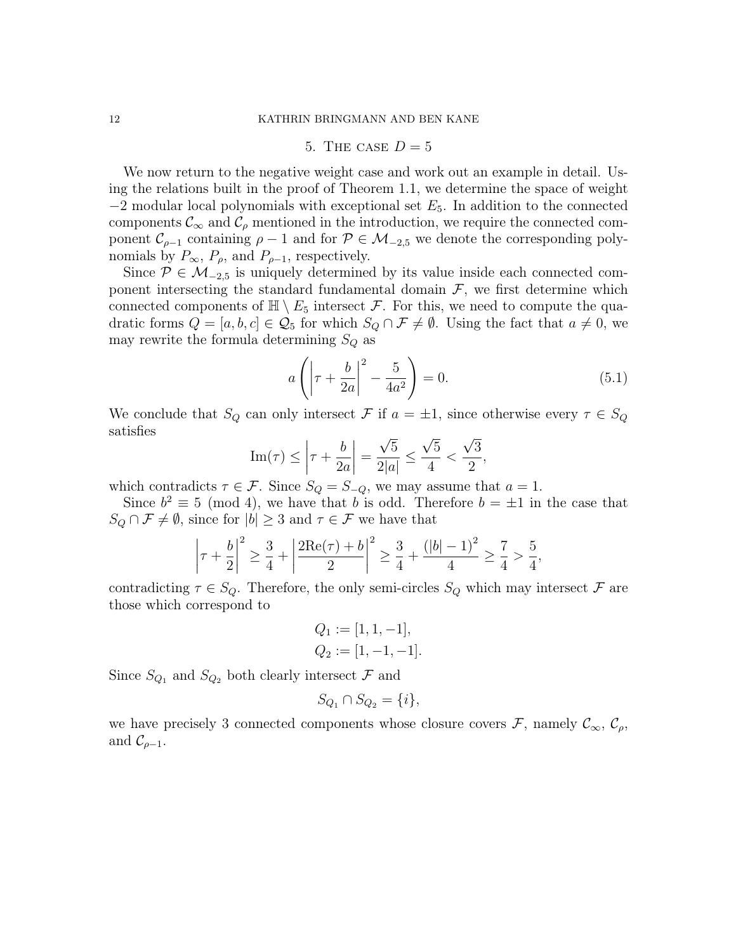## 5. THE CASE  $D=5$

We now return to the negative weight case and work out an example in detail. Using the relations built in the proof of Theorem 1.1, we determine the space of weight  $-2$  modular local polynomials with exceptional set  $E_5$ . In addition to the connected components  $\mathcal{C}_{\infty}$  and  $\mathcal{C}_{\rho}$  mentioned in the introduction, we require the connected component  $\mathcal{C}_{\rho-1}$  containing  $\rho-1$  and for  $\mathcal{P} \in \mathcal{M}_{-2,5}$  we denote the corresponding polynomials by  $P_{\infty}$ ,  $P_{\rho}$ , and  $P_{\rho-1}$ , respectively.

Since  $P \in M_{-2.5}$  is uniquely determined by its value inside each connected component intersecting the standard fundamental domain  $\mathcal{F}$ , we first determine which connected components of  $\mathbb{H} \setminus E_5$  intersect F. For this, we need to compute the quadratic forms  $Q = [a, b, c] \in \mathcal{Q}_5$  for which  $S_Q \cap \mathcal{F} \neq \emptyset$ . Using the fact that  $a \neq 0$ , we may rewrite the formula determining  $S_Q$  as

$$
a\left(\left|\tau + \frac{b}{2a}\right|^2 - \frac{5}{4a^2}\right) = 0.\tag{5.1}
$$

We conclude that  $S_Q$  can only intersect  $\mathcal F$  if  $a = \pm 1$ , since otherwise every  $\tau \in S_Q$ satisfies √ √ √

Im
$$
(\tau)
$$
  $\leq \left| \tau + \frac{b}{2a} \right| = \frac{\sqrt{5}}{2|a|} \leq \frac{\sqrt{5}}{4} < \frac{\sqrt{3}}{2},$ 

which contradicts  $\tau \in \mathcal{F}$ . Since  $S_Q = S_{-Q}$ , we may assume that  $a = 1$ .

Since  $b^2 \equiv 5 \pmod{4}$ , we have that b is odd. Therefore  $b = \pm 1$  in the case that  $S_Q \cap \mathcal{F} \neq \emptyset$ , since for  $|b| \geq 3$  and  $\tau \in \mathcal{F}$  we have that

$$
\left|\tau + \frac{b}{2}\right|^2 \ge \frac{3}{4} + \left|\frac{2\mathrm{Re}(\tau) + b}{2}\right|^2 \ge \frac{3}{4} + \frac{(|b| - 1)^2}{4} \ge \frac{7}{4} > \frac{5}{4},
$$

contradicting  $\tau \in S_Q$ . Therefore, the only semi-circles  $S_Q$  which may intersect  $\mathcal F$  are those which correspond to

$$
Q_1 := [1, 1, -1],
$$
  

$$
Q_2 := [1, -1, -1].
$$

Since  $S_{Q_1}$  and  $S_{Q_2}$  both clearly intersect  $\mathcal F$  and

$$
S_{Q_1} \cap S_{Q_2} = \{i\},\
$$

we have precisely 3 connected components whose closure covers  $\mathcal{F}$ , namely  $\mathcal{C}_{\infty}$ ,  $\mathcal{C}_{\rho}$ , and  $\mathcal{C}_{\rho-1}$ .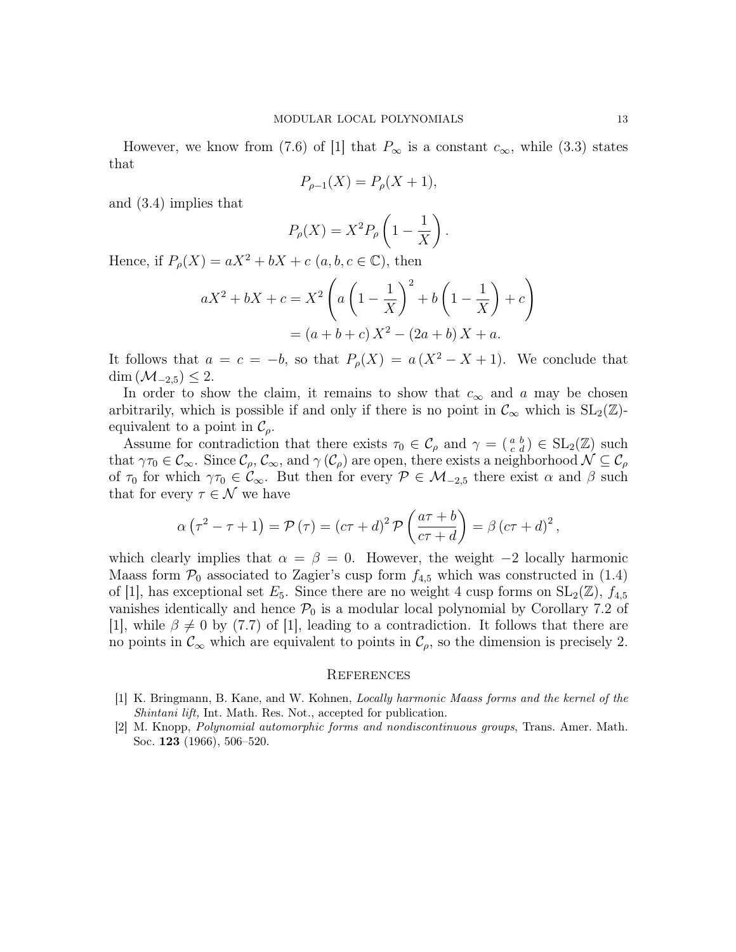However, we know from (7.6) of [1] that  $P_{\infty}$  is a constant  $c_{\infty}$ , while (3.3) states that

$$
P_{\rho - 1}(X) = P_{\rho}(X + 1),
$$

and (3.4) implies that

$$
P_{\rho}(X) = X^2 P_{\rho} \left( 1 - \frac{1}{X} \right).
$$

Hence, if  $P_{\rho}(X) = aX^2 + bX + c$   $(a, b, c \in \mathbb{C})$ , then

$$
aX^{2} + bX + c = X^{2} \left( a \left( 1 - \frac{1}{X} \right)^{2} + b \left( 1 - \frac{1}{X} \right) + c \right)
$$
  
=  $(a + b + c) X^{2} - (2a + b) X + a.$ 

It follows that  $a = c = -b$ , so that  $P_{\rho}(X) = a(X^2 - X + 1)$ . We conclude that  $\dim \left( \mathcal{M}_{-2,5} \right) \leq 2.$ 

In order to show the claim, it remains to show that  $c_{\infty}$  and a may be chosen arbitrarily, which is possible if and only if there is no point in  $\mathcal{C}_{\infty}$  which is  $SL_2(\mathbb{Z})$ equivalent to a point in  $\mathcal{C}_{\rho}$ .

Assume for contradiction that there exists  $\tau_0 \in \mathcal{C}_{\rho}$  and  $\gamma = \begin{pmatrix} a & b \\ c & d \end{pmatrix} \in SL_2(\mathbb{Z})$  such that  $\gamma\tau_0 \in \mathcal{C}_{\infty}$ . Since  $\mathcal{C}_{\rho}, \mathcal{C}_{\infty}$ , and  $\gamma(\mathcal{C}_{\rho})$  are open, there exists a neighborhood  $\mathcal{N} \subseteq \mathcal{C}_{\rho}$ of  $\tau_0$  for which  $\gamma \tau_0 \in \mathcal{C}_{\infty}$ . But then for every  $\mathcal{P} \in \mathcal{M}_{-2,5}$  there exist  $\alpha$  and  $\beta$  such that for every  $\tau \in \mathcal{N}$  we have

$$
\alpha\left(\tau^2-\tau+1\right) = \mathcal{P}\left(\tau\right) = \left(c\tau+d\right)^2 \mathcal{P}\left(\frac{a\tau+b}{c\tau+d}\right) = \beta\left(c\tau+d\right)^2,
$$

which clearly implies that  $\alpha = \beta = 0$ . However, the weight  $-2$  locally harmonic Maass form  $\mathcal{P}_0$  associated to Zagier's cusp form  $f_{4,5}$  which was constructed in (1.4) of [1], has exceptional set  $E_5$ . Since there are no weight 4 cusp forms on  $SL_2(\mathbb{Z})$ ,  $f_{4,5}$ vanishes identically and hence  $\mathcal{P}_0$  is a modular local polynomial by Corollary 7.2 of [1], while  $\beta \neq 0$  by (7.7) of [1], leading to a contradiction. It follows that there are no points in  $\mathcal{C}_{\infty}$  which are equivalent to points in  $\mathcal{C}_{\rho}$ , so the dimension is precisely 2.

#### **REFERENCES**

- [1] K. Bringmann, B. Kane, and W. Kohnen, Locally harmonic Maass forms and the kernel of the Shintani lift, Int. Math. Res. Not., accepted for publication.
- [2] M. Knopp, Polynomial automorphic forms and nondiscontinuous groups, Trans. Amer. Math. Soc. 123 (1966), 506–520.